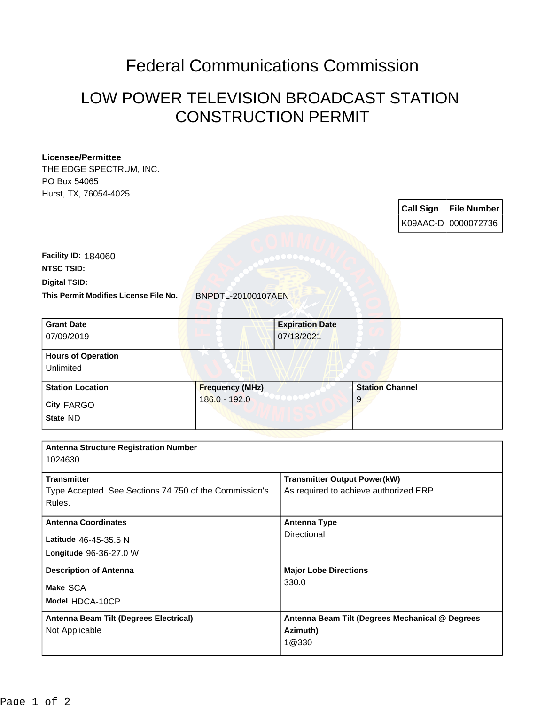## Federal Communications Commission

## LOW POWER TELEVISION BROADCAST STATION CONSTRUCTION PERMIT

## **Licensee/Permittee**

THE EDGE SPECTRUM, INC. PO Box 54065 Hurst, TX, 76054-4025

> **Call Sign File Number** K09AAC-D 0000072736

**Digital TSID: NTSC TSID: Facility ID:** 184060

**This Permit Modifies License File No.** BNPDTL-20100107AEN

| <b>Grant Date</b><br>07/09/2019                   |                                         | <b>Expiration Date</b><br>07/13/2021 |                             |  |
|---------------------------------------------------|-----------------------------------------|--------------------------------------|-----------------------------|--|
| <b>Hours of Operation</b><br>Unlimited            |                                         |                                      |                             |  |
| <b>Station Location</b><br>City FARGO<br>State ND | <b>Frequency (MHz)</b><br>186.0 - 192.0 |                                      | <b>Station Channel</b><br>9 |  |
|                                                   |                                         |                                      |                             |  |

| <b>Antenna Structure Registration Number</b><br>1024630                                |                                                                               |  |
|----------------------------------------------------------------------------------------|-------------------------------------------------------------------------------|--|
| <b>Transmitter</b><br>Type Accepted. See Sections 74.750 of the Commission's<br>Rules. | <b>Transmitter Output Power(kW)</b><br>As required to achieve authorized ERP. |  |
| <b>Antenna Coordinates</b><br>Latitude 46-45-35.5 N<br>Longitude 96-36-27.0 W          | <b>Antenna Type</b><br>Directional                                            |  |
| <b>Description of Antenna</b><br>Make SCA<br>Model HDCA-10CP                           | <b>Major Lobe Directions</b><br>330.0                                         |  |
| Antenna Beam Tilt (Degrees Electrical)<br>Not Applicable                               | Antenna Beam Tilt (Degrees Mechanical @ Degrees<br>Azimuth)<br>1@330          |  |